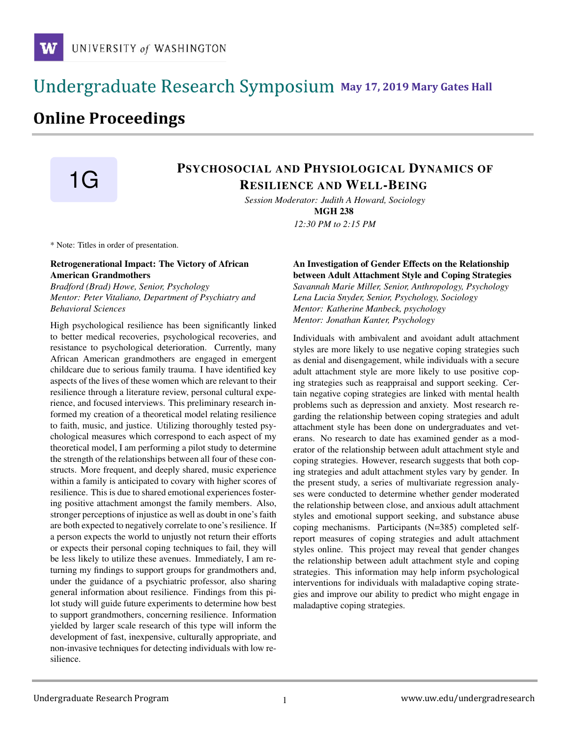# **May 17, 2019 Mary Gates Hall** Ĭ

# **Online Proceedings**

# **1G** PSYCHOSOCIAL AND PHYSIOLOGICAL DYNAMICS OF RESILIENCE AND WELL-BEING

*Session Moderator: Judith A Howard, Sociology* MGH 238 *12:30 PM to 2:15 PM*

\* Note: Titles in order of presentation.

## Retrogenerational Impact: The Victory of African American Grandmothers

*Bradford (Brad) Howe, Senior, Psychology Mentor: Peter Vitaliano, Department of Psychiatry and Behavioral Sciences*

High psychological resilience has been significantly linked to better medical recoveries, psychological recoveries, and resistance to psychological deterioration. Currently, many African American grandmothers are engaged in emergent childcare due to serious family trauma. I have identified key aspects of the lives of these women which are relevant to their resilience through a literature review, personal cultural experience, and focused interviews. This preliminary research informed my creation of a theoretical model relating resilience to faith, music, and justice. Utilizing thoroughly tested psychological measures which correspond to each aspect of my theoretical model, I am performing a pilot study to determine the strength of the relationships between all four of these constructs. More frequent, and deeply shared, music experience within a family is anticipated to covary with higher scores of resilience. This is due to shared emotional experiences fostering positive attachment amongst the family members. Also, stronger perceptions of injustice as well as doubt in one's faith are both expected to negatively correlate to one's resilience. If a person expects the world to unjustly not return their efforts or expects their personal coping techniques to fail, they will be less likely to utilize these avenues. Immediately, I am returning my findings to support groups for grandmothers and, under the guidance of a psychiatric professor, also sharing general information about resilience. Findings from this pilot study will guide future experiments to determine how best to support grandmothers, concerning resilience. Information yielded by larger scale research of this type will inform the development of fast, inexpensive, culturally appropriate, and non-invasive techniques for detecting individuals with low resilience.

An Investigation of Gender Effects on the Relationship between Adult Attachment Style and Coping Strategies *Savannah Marie Miller, Senior, Anthropology, Psychology Lena Lucia Snyder, Senior, Psychology, Sociology Mentor: Katherine Manbeck, psychology Mentor: Jonathan Kanter, Psychology*

Individuals with ambivalent and avoidant adult attachment styles are more likely to use negative coping strategies such as denial and disengagement, while individuals with a secure adult attachment style are more likely to use positive coping strategies such as reappraisal and support seeking. Certain negative coping strategies are linked with mental health problems such as depression and anxiety. Most research regarding the relationship between coping strategies and adult attachment style has been done on undergraduates and veterans. No research to date has examined gender as a moderator of the relationship between adult attachment style and coping strategies. However, research suggests that both coping strategies and adult attachment styles vary by gender. In the present study, a series of multivariate regression analyses were conducted to determine whether gender moderated the relationship between close, and anxious adult attachment styles and emotional support seeking, and substance abuse coping mechanisms. Participants (N=385) completed selfreport measures of coping strategies and adult attachment styles online. This project may reveal that gender changes the relationship between adult attachment style and coping strategies. This information may help inform psychological interventions for individuals with maladaptive coping strategies and improve our ability to predict who might engage in maladaptive coping strategies.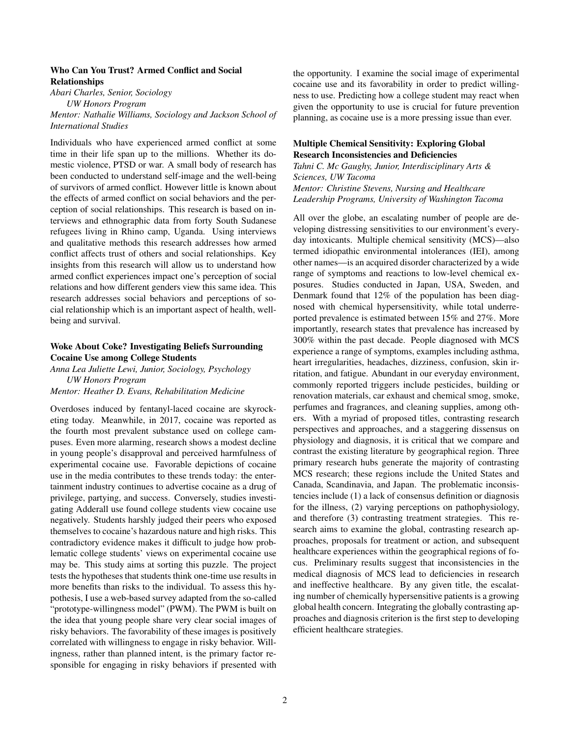#### Who Can You Trust? Armed Conflict and Social Relationships

*Abari Charles, Senior, Sociology*

*UW Honors Program Mentor: Nathalie Williams, Sociology and Jackson School of International Studies*

Individuals who have experienced armed conflict at some time in their life span up to the millions. Whether its domestic violence, PTSD or war. A small body of research has been conducted to understand self-image and the well-being of survivors of armed conflict. However little is known about the effects of armed conflict on social behaviors and the perception of social relationships. This research is based on interviews and ethnographic data from forty South Sudanese refugees living in Rhino camp, Uganda. Using interviews and qualitative methods this research addresses how armed conflict affects trust of others and social relationships. Key insights from this research will allow us to understand how armed conflict experiences impact one's perception of social relations and how different genders view this same idea. This research addresses social behaviors and perceptions of social relationship which is an important aspect of health, wellbeing and survival.

### Woke About Coke? Investigating Beliefs Surrounding Cocaine Use among College Students

*Anna Lea Juliette Lewi, Junior, Sociology, Psychology UW Honors Program*

*Mentor: Heather D. Evans, Rehabilitation Medicine*

Overdoses induced by fentanyl-laced cocaine are skyrocketing today. Meanwhile, in 2017, cocaine was reported as the fourth most prevalent substance used on college campuses. Even more alarming, research shows a modest decline in young people's disapproval and perceived harmfulness of experimental cocaine use. Favorable depictions of cocaine use in the media contributes to these trends today: the entertainment industry continues to advertise cocaine as a drug of privilege, partying, and success. Conversely, studies investigating Adderall use found college students view cocaine use negatively. Students harshly judged their peers who exposed themselves to cocaine's hazardous nature and high risks. This contradictory evidence makes it difficult to judge how problematic college students' views on experimental cocaine use may be. This study aims at sorting this puzzle. The project tests the hypotheses that students think one-time use results in more benefits than risks to the individual. To assess this hypothesis, I use a web-based survey adapted from the so-called "prototype-willingness model" (PWM). The PWM is built on the idea that young people share very clear social images of risky behaviors. The favorability of these images is positively correlated with willingness to engage in risky behavior. Willingness, rather than planned intent, is the primary factor responsible for engaging in risky behaviors if presented with the opportunity. I examine the social image of experimental cocaine use and its favorability in order to predict willingness to use. Predicting how a college student may react when given the opportunity to use is crucial for future prevention planning, as cocaine use is a more pressing issue than ever.

## Multiple Chemical Sensitivity: Exploring Global Research Inconsistencies and Deficiencies

*Tahni C. Mc Gaughy, Junior, Interdisciplinary Arts & Sciences, UW Tacoma Mentor: Christine Stevens, Nursing and Healthcare Leadership Programs, University of Washington Tacoma*

All over the globe, an escalating number of people are developing distressing sensitivities to our environment's everyday intoxicants. Multiple chemical sensitivity (MCS)—also termed idiopathic environmental intolerances (IEI), among other names—is an acquired disorder characterized by a wide range of symptoms and reactions to low-level chemical exposures. Studies conducted in Japan, USA, Sweden, and Denmark found that 12% of the population has been diagnosed with chemical hypersensitivity, while total underreported prevalence is estimated between 15% and 27%. More importantly, research states that prevalence has increased by 300% within the past decade. People diagnosed with MCS experience a range of symptoms, examples including asthma, heart irregularities, headaches, dizziness, confusion, skin irritation, and fatigue. Abundant in our everyday environment, commonly reported triggers include pesticides, building or renovation materials, car exhaust and chemical smog, smoke, perfumes and fragrances, and cleaning supplies, among others. With a myriad of proposed titles, contrasting research perspectives and approaches, and a staggering dissensus on physiology and diagnosis, it is critical that we compare and contrast the existing literature by geographical region. Three primary research hubs generate the majority of contrasting MCS research; these regions include the United States and Canada, Scandinavia, and Japan. The problematic inconsistencies include (1) a lack of consensus definition or diagnosis for the illness, (2) varying perceptions on pathophysiology, and therefore (3) contrasting treatment strategies. This research aims to examine the global, contrasting research approaches, proposals for treatment or action, and subsequent healthcare experiences within the geographical regions of focus. Preliminary results suggest that inconsistencies in the medical diagnosis of MCS lead to deficiencies in research and ineffective healthcare. By any given title, the escalating number of chemically hypersensitive patients is a growing global health concern. Integrating the globally contrasting approaches and diagnosis criterion is the first step to developing efficient healthcare strategies.